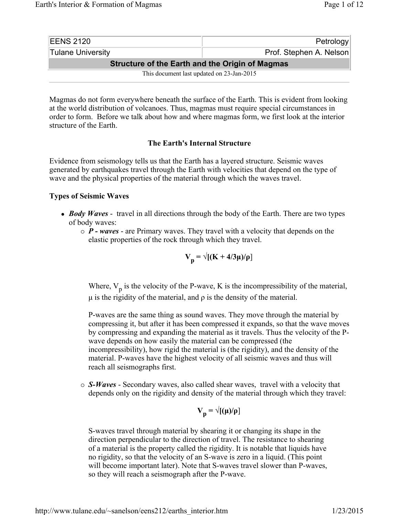| <b>IEENS 2120</b>                                      | Petrology               |
|--------------------------------------------------------|-------------------------|
| Tulane University                                      | Prof. Stephen A. Nelson |
| <b>Structure of the Earth and the Origin of Magmas</b> |                         |
| This document last updated on 23-Jan-2015              |                         |

Magmas do not form everywhere beneath the surface of the Earth. This is evident from looking at the world distribution of volcanoes. Thus, magmas must require special circumstances in order to form. Before we talk about how and where magmas form, we first look at the interior structure of the Earth.

## **The Earth's Internal Structure**

Evidence from seismology tells us that the Earth has a layered structure. Seismic waves generated by earthquakes travel through the Earth with velocities that depend on the type of wave and the physical properties of the material through which the waves travel.

#### **Types of Seismic Waves**

- *Body Waves* travel in all directions through the body of the Earth. There are two types of body waves:
	- { *P waves* are Primary waves. They travel with a velocity that depends on the elastic properties of the rock through which they travel.

$$
V_p = \sqrt{[(K + 4/3\mu)/\rho]}
$$

Where,  $V_p$  is the velocity of the P-wave, K is the incompressibility of the material,  $μ$  is the rigidity of the material, and  $ρ$  is the density of the material.

P-waves are the same thing as sound waves. They move through the material by compressing it, but after it has been compressed it expands, so that the wave moves by compressing and expanding the material as it travels. Thus the velocity of the Pwave depends on how easily the material can be compressed (the incompressibility), how rigid the material is (the rigidity), and the density of the material. P-waves have the highest velocity of all seismic waves and thus will reach all seismographs first.

{ *S-Waves* - Secondary waves, also called shear waves, travel with a velocity that depends only on the rigidity and density of the material through which they travel:

$$
V_p = \sqrt{[(\mu)/\rho]}
$$

S-waves travel through material by shearing it or changing its shape in the direction perpendicular to the direction of travel. The resistance to shearing of a material is the property called the rigidity. It is notable that liquids have no rigidity, so that the velocity of an S-wave is zero in a liquid. (This point will become important later). Note that S-waves travel slower than P-waves, so they will reach a seismograph after the P-wave.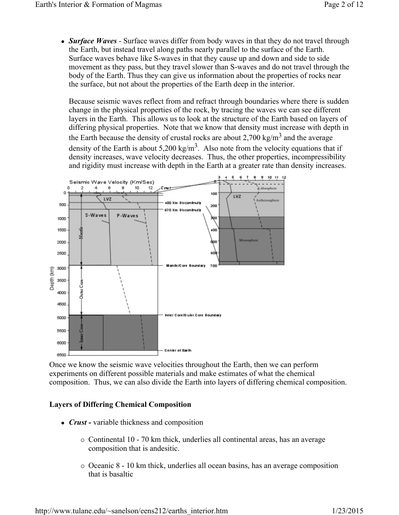• *Surface Waves* - Surface waves differ from body waves in that they do not travel through the Earth, but instead travel along paths nearly parallel to the surface of the Earth. Surface waves behave like S-waves in that they cause up and down and side to side movement as they pass, but they travel slower than S-waves and do not travel through the body of the Earth. Thus they can give us information about the properties of rocks near the surface, but not about the properties of the Earth deep in the interior.

Because seismic waves reflect from and refract through boundaries where there is sudden change in the physical properties of the rock, by tracing the waves we can see different layers in the Earth. This allows us to look at the structure of the Earth based on layers of differing physical properties. Note that we know that density must increase with depth in the Earth because the density of crustal rocks are about 2,700 kg/m<sup>3</sup> and the average density of the Earth is about 5,200 kg/m<sup>3</sup>. Also note from the velocity equations that if density increases, wave velocity decreases. Thus, the other properties, incompressibility and rigidity must increase with depth in the Earth at a greater rate than density increases.



Once we know the seismic wave velocities throughout the Earth, then we can perform experiments on different possible materials and make estimates of what the chemical composition. Thus, we can also divide the Earth into layers of differing chemical composition.

## **Layers of Differing Chemical Composition**

- *Crust* variable thickness and composition
	- $\circ$  Continental 10 70 km thick, underlies all continental areas, has an average composition that is andesitic.
	- { Oceanic 8 10 km thick, underlies all ocean basins, has an average composition that is basaltic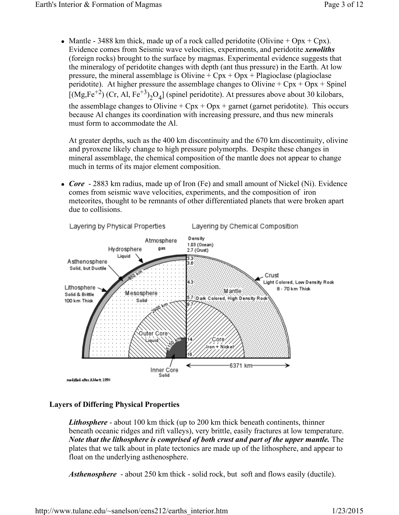• Mantle - 3488 km thick, made up of a rock called peridotite (Olivine + Opx + Cpx). Evidence comes from Seismic wave velocities, experiments, and peridotite *xenoliths* (foreign rocks) brought to the surface by magmas. Experimental evidence suggests that the mineralogy of peridotite changes with depth (ant thus pressure) in the Earth. At low pressure, the mineral assemblage is Olivine  $+$  Cpx  $+$  Opx  $+$  Plagioclase (plagioclase peridotite). At higher pressure the assemblage changes to Olivine +  $Cpx + Opx + Spinel$ [(Mg,Fe<sup>+2</sup>) (Cr, Al, Fe<sup>+3</sup>)<sub>2</sub>O<sub>4</sub>] (spinel peridotite). At pressures above about 30 kilobars, the assemblage changes to Olivine +  $Cpx + Opx +$  garnet (garnet peridotite). This occurs because Al changes its coordination with increasing pressure, and thus new minerals must form to accommodate the Al.

At greater depths, such as the 400 km discontinuity and the 670 km discontinuity, olivine and pyroxene likely change to high pressure polymorphs. Despite these changes in mineral assemblage, the chemical composition of the mantle does not appear to change much in terms of its major element composition.

• *Core* - 2883 km radius, made up of Iron (Fe) and small amount of Nickel (Ni). Evidence comes from seismic wave velocities, experiments, and the composition of iron meteorites, thought to be remnants of other differentiated planets that were broken apart due to collisions.



# **Layers of Differing Physical Properties**

*Lithosphere* - about 100 km thick (up to 200 km thick beneath continents, thinner beneath oceanic ridges and rift valleys), very brittle, easily fractures at low temperature. *Note that the lithosphere is comprised of both crust and part of the upper mantle.* The plates that we talk about in plate tectonics are made up of the lithosphere, and appear to float on the underlying asthenosphere.

*Asthenosphere* - about 250 km thick - solid rock, but soft and flows easily (ductile).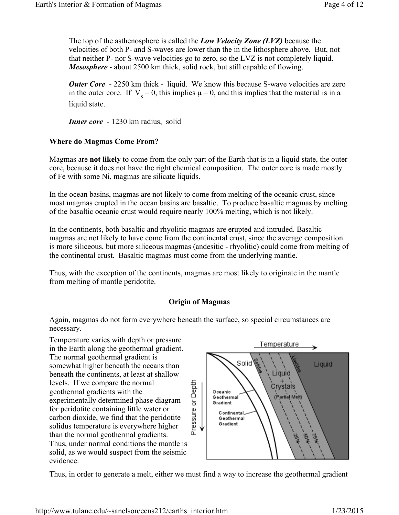The top of the asthenosphere is called the *Low Velocity Zone (LVZ)* because the velocities of both P- and S-waves are lower than the in the lithosphere above. But, not that neither P- nor S-wave velocities go to zero, so the LVZ is not completely liquid. *Mesosphere* - about 2500 km thick, solid rock, but still capable of flowing.

*Outer Core* - 2250 km thick - liquid. We know this because S-wave velocities are zero in the outer core. If  $V_s = 0$ , this implies  $\mu = 0$ , and this implies that the material is in a liquid state.

*Inner core* - 1230 km radius, solid

#### **Where do Magmas Come From?**

Magmas are **not likely** to come from the only part of the Earth that is in a liquid state, the outer core, because it does not have the right chemical composition. The outer core is made mostly of Fe with some Ni, magmas are silicate liquids.

In the ocean basins, magmas are not likely to come from melting of the oceanic crust, since most magmas erupted in the ocean basins are basaltic. To produce basaltic magmas by melting of the basaltic oceanic crust would require nearly 100% melting, which is not likely.

In the continents, both basaltic and rhyolitic magmas are erupted and intruded. Basaltic magmas are not likely to have come from the continental crust, since the average composition is more siliceous, but more siliceous magmas (andesitic - rhyolitic) could come from melting of the continental crust. Basaltic magmas must come from the underlying mantle.

Thus, with the exception of the continents, magmas are most likely to originate in the mantle from melting of mantle peridotite.

#### **Origin of Magmas**

Again, magmas do not form everywhere beneath the surface, so special circumstances are necessary.

Temperature varies with depth or pressure in the Earth along the geothermal gradient. The normal geothermal gradient is somewhat higher beneath the oceans than beneath the continents, at least at shallow levels. If we compare the normal geothermal gradients with the experimentally determined phase diagram for peridotite containing little water or carbon dioxide, we find that the peridotite solidus temperature is everywhere higher than the normal geothermal gradients. Thus, under normal conditions the mantle is solid, as we would suspect from the seismic evidence.



Thus, in order to generate a melt, either we must find a way to increase the geothermal gradient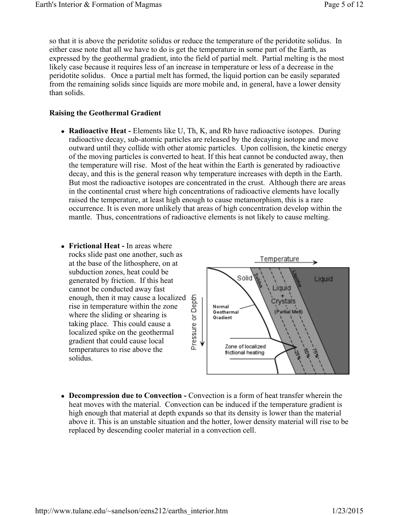so that it is above the peridotite solidus or reduce the temperature of the peridotite solidus. In either case note that all we have to do is get the temperature in some part of the Earth, as expressed by the geothermal gradient, into the field of partial melt. Partial melting is the most likely case because it requires less of an increase in temperature or less of a decrease in the peridotite solidus. Once a partial melt has formed, the liquid portion can be easily separated from the remaining solids since liquids are more mobile and, in general, have a lower density than solids.

## **Raising the Geothermal Gradient**

• **Radioactive Heat -** Elements like U, Th, K, and Rb have radioactive isotopes. During radioactive decay, sub-atomic particles are released by the decaying isotope and move outward until they collide with other atomic particles. Upon collision, the kinetic energy of the moving particles is converted to heat. If this heat cannot be conducted away, then the temperature will rise. Most of the heat within the Earth is generated by radioactive decay, and this is the general reason why temperature increases with depth in the Earth. But most the radioactive isotopes are concentrated in the crust. Although there are areas in the continental crust where high concentrations of radioactive elements have locally raised the temperature, at least high enough to cause metamorphism, this is a rare occurrence. It is even more unlikely that areas of high concentration develop within the mantle. Thus, concentrations of radioactive elements is not likely to cause melting.



• Decompression due to Convection - Convection is a form of heat transfer wherein the heat moves with the material. Convection can be induced if the temperature gradient is high enough that material at depth expands so that its density is lower than the material above it. This is an unstable situation and the hotter, lower density material will rise to be replaced by descending cooler material in a convection cell.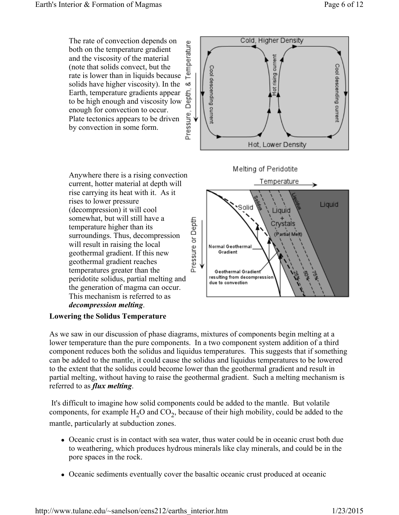

# **Lowering the Solidus Temperature**

As we saw in our discussion of phase diagrams, mixtures of components begin melting at a lower temperature than the pure components. In a two component system addition of a third component reduces both the solidus and liquidus temperatures. This suggests that if something can be added to the mantle, it could cause the solidus and liquidus temperatures to be lowered to the extent that the solidus could become lower than the geothermal gradient and result in partial melting, without having to raise the geothermal gradient. Such a melting mechanism is referred to as *flux melting*.

 It's difficult to imagine how solid components could be added to the mantle. But volatile components, for example  $H_2O$  and  $CO_2$ , because of their high mobility, could be added to the mantle, particularly at subduction zones.

- Oceanic crust is in contact with sea water, thus water could be in oceanic crust both due to weathering, which produces hydrous minerals like clay minerals, and could be in the pore spaces in the rock.
- Oceanic sediments eventually cover the basaltic oceanic crust produced at oceanic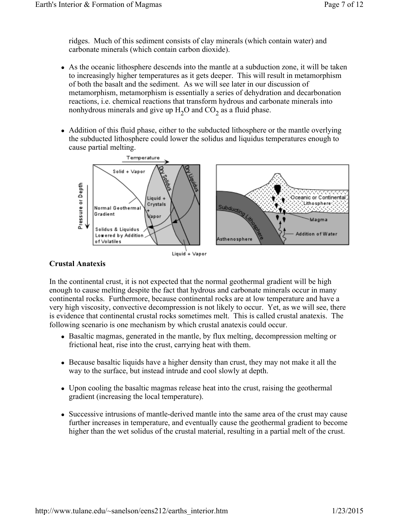ridges. Much of this sediment consists of clay minerals (which contain water) and carbonate minerals (which contain carbon dioxide).

- As the oceanic lithosphere descends into the mantle at a subduction zone, it will be taken to increasingly higher temperatures as it gets deeper. This will result in metamorphism of both the basalt and the sediment. As we will see later in our discussion of metamorphism, metamorphism is essentially a series of dehydration and decarbonation reactions, i.e. chemical reactions that transform hydrous and carbonate minerals into nonhydrous minerals and give up  $H_2O$  and  $CO_2$  as a fluid phase.
- Addition of this fluid phase, either to the subducted lithosphere or the mantle overlying the subducted lithosphere could lower the solidus and liquidus temperatures enough to cause partial melting.



#### Liquid + Vapor

## **Crustal Anatexis**

In the continental crust, it is not expected that the normal geothermal gradient will be high enough to cause melting despite the fact that hydrous and carbonate minerals occur in many continental rocks. Furthermore, because continental rocks are at low temperature and have a very high viscosity, convective decompression is not likely to occur. Yet, as we will see, there is evidence that continental crustal rocks sometimes melt. This is called crustal anatexis. The following scenario is one mechanism by which crustal anatexis could occur.

- Basaltic magmas, generated in the mantle, by flux melting, decompression melting or frictional heat, rise into the crust, carrying heat with them.
- Because basaltic liquids have a higher density than crust, they may not make it all the way to the surface, but instead intrude and cool slowly at depth.
- Upon cooling the basaltic magmas release heat into the crust, raising the geothermal gradient (increasing the local temperature).
- Successive intrusions of mantle-derived mantle into the same area of the crust may cause further increases in temperature, and eventually cause the geothermal gradient to become higher than the wet solidus of the crustal material, resulting in a partial melt of the crust.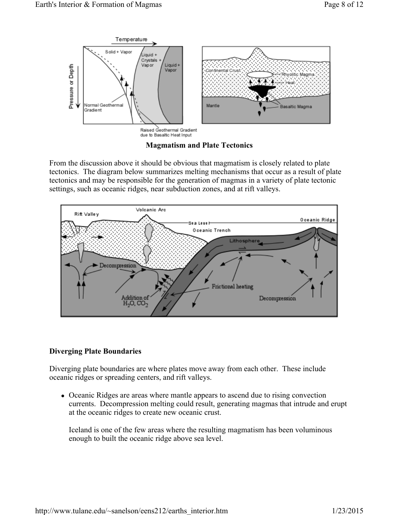

**Magmatism and Plate Tectonics**

From the discussion above it should be obvious that magmatism is closely related to plate tectonics. The diagram below summarizes melting mechanisms that occur as a result of plate tectonics and may be responsible for the generation of magmas in a variety of plate tectonic settings, such as oceanic ridges, near subduction zones, and at rift valleys.



# **Diverging Plate Boundaries**

Diverging plate boundaries are where plates move away from each other. These include oceanic ridges or spreading centers, and rift valleys.

• Oceanic Ridges are areas where mantle appears to ascend due to rising convection currents. Decompression melting could result, generating magmas that intrude and erupt at the oceanic ridges to create new oceanic crust.

Iceland is one of the few areas where the resulting magmatism has been voluminous enough to built the oceanic ridge above sea level.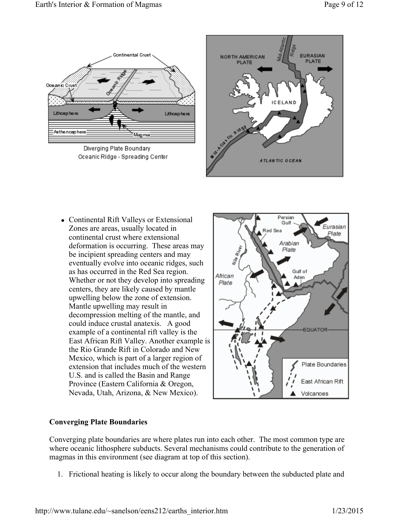

Diverging Plate Boundary Oceanic Ridge - Spreading Center



• Continental Rift Valleys or Extensional Zones are areas, usually located in continental crust where extensional deformation is occurring. These areas may be incipient spreading centers and may eventually evolve into oceanic ridges, such as has occurred in the Red Sea region. Whether or not they develop into spreading centers, they are likely caused by mantle upwelling below the zone of extension. Mantle upwelling may result in decompression melting of the mantle, and could induce crustal anatexis. A good example of a continental rift valley is the East African Rift Valley. Another example is the Rio Grande Rift in Colorado and New Mexico, which is part of a larger region of extension that includes much of the western U.S. and is called the Basin and Range Province (Eastern California & Oregon, Nevada, Utah, Arizona, & New Mexico).



# **Converging Plate Boundaries**

Converging plate boundaries are where plates run into each other. The most common type are where oceanic lithosphere subducts. Several mechanisms could contribute to the generation of magmas in this environment (see diagram at top of this section).

1. Frictional heating is likely to occur along the boundary between the subducted plate and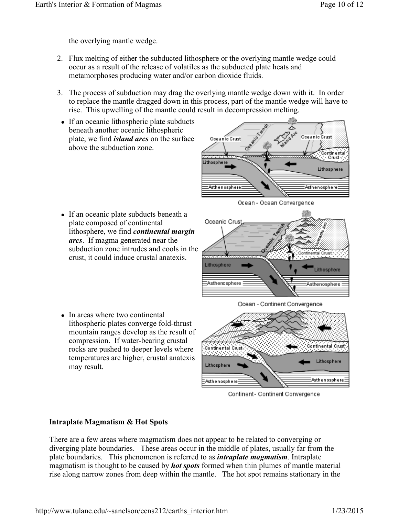the overlying mantle wedge.

- 2. Flux melting of either the subducted lithosphere or the overlying mantle wedge could occur as a result of the release of volatiles as the subducted plate heats and metamorphoses producing water and/or carbon dioxide fluids.
- 3. The process of subduction may drag the overlying mantle wedge down with it. In order to replace the mantle dragged down in this process, part of the mantle wedge will have to rise. This upwelling of the mantle could result in decompression melting.
- If an oceanic lithospheric plate subducts beneath another oceanic lithospheric plate, we find *island arcs* on the surface above the subduction zone.



• If an oceanic plate subducts beneath a plate composed of continental lithosphere, we find *continental margin arcs*. If magma generated near the subduction zone intrudes and cools in the crust, it could induce crustal anatexis.





• In areas where two continental lithospheric plates converge fold-thrust mountain ranges develop as the result of compression. If water-bearing crustal rocks are pushed to deeper levels where temperatures are higher, crustal anatexis may result.



Continent- Continent Convergence

## I**ntraplate Magmatism & Hot Spots**

There are a few areas where magmatism does not appear to be related to converging or diverging plate boundaries. These areas occur in the middle of plates, usually far from the plate boundaries. This phenomenon is referred to as *intraplate magmatism*. Intraplate magmatism is thought to be caused by *hot spots* formed when thin plumes of mantle material rise along narrow zones from deep within the mantle. The hot spot remains stationary in the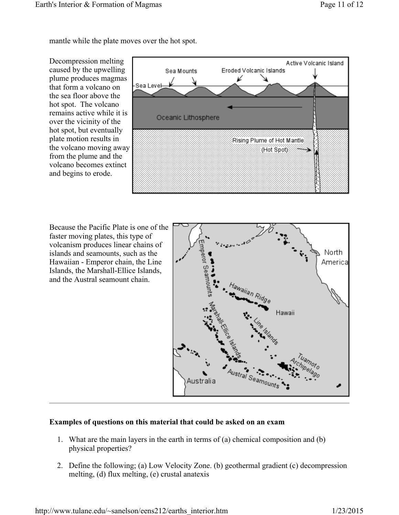mantle while the plate moves over the hot spot.

Decompression melting caused by the upwelling plume produces magmas that form a volcano on the sea floor above the hot spot. The volcano remains active while it is over the vicinity of the hot spot, but eventually plate motion results in the volcano moving away from the plume and the volcano becomes extinct and begins to erode.



Because the Pacific Plate is one of the faster moving plates, this type of volcanism produces linear chains of islands and seamounts, such as the Hawaiian - Emperor chain, the Line Islands, the Marshall-Ellice Islands, and the Austral seamount chain.



# **Examples of questions on this material that could be asked on an exam**

- 1. What are the main layers in the earth in terms of (a) chemical composition and (b) physical properties?
- 2. Define the following; (a) Low Velocity Zone. (b) geothermal gradient (c) decompression melting, (d) flux melting, (e) crustal anatexis